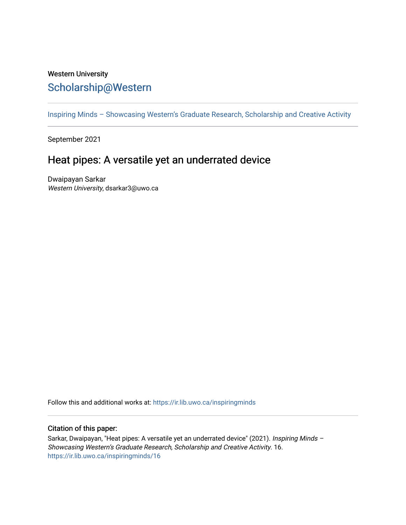## Western University [Scholarship@Western](https://ir.lib.uwo.ca/)

[Inspiring Minds – Showcasing Western's Graduate Research, Scholarship and Creative Activity](https://ir.lib.uwo.ca/inspiringminds) 

September 2021

## Heat pipes: A versatile yet an underrated device

Dwaipayan Sarkar Western University, dsarkar3@uwo.ca

Follow this and additional works at: [https://ir.lib.uwo.ca/inspiringminds](https://ir.lib.uwo.ca/inspiringminds?utm_source=ir.lib.uwo.ca%2Finspiringminds%2F16&utm_medium=PDF&utm_campaign=PDFCoverPages) 

## Citation of this paper:

Sarkar, Dwaipayan, "Heat pipes: A versatile yet an underrated device" (2021). Inspiring Minds -Showcasing Western's Graduate Research, Scholarship and Creative Activity. 16. [https://ir.lib.uwo.ca/inspiringminds/16](https://ir.lib.uwo.ca/inspiringminds/16?utm_source=ir.lib.uwo.ca%2Finspiringminds%2F16&utm_medium=PDF&utm_campaign=PDFCoverPages)